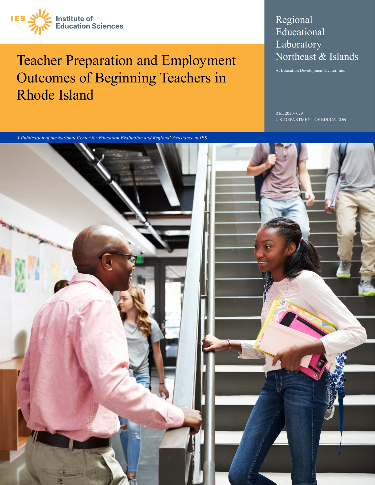

# Teacher Preparation and Employment Outcomes of Beginning Teachers in Rhode Island

# Regional Educational Laboratory Northeast & Islands

At Education Development Center, Inc.

 $-029$ U.S. DEPARTMENT OF EDUCATION

*A Publication of the National Center for Education Evaluation and Regional Assistance at IES*

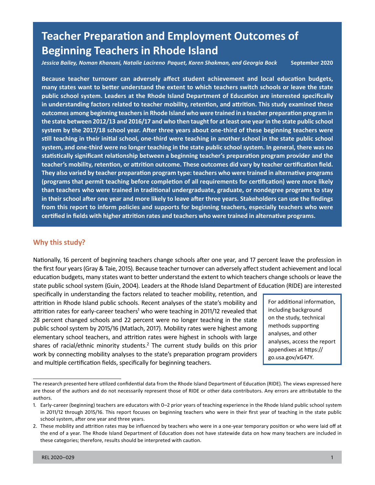# **Teacher Preparation and Employment Outcomes of Beginning Teachers in Rhode Island**

*- Jessica Bailey, Noman Khanani, Natalie Lacireno Paquet, Karen Shakman, and Georgia Bock* **September 2020** 

 **Because teacher turnover can adversely affect student achievement and local education budgets, many states want to better understand the extent to which teachers switch schools or leave the state public school system. Leaders at the Rhode Island Department of Education are interested specifically outcomes among beginning teachers in Rhode Island who were trained in a teacher preparation program in the state between 2012/13 and 2016/17 and who then taught for at least one year in the state public school system by the 2017/18 school year. After three years about one-third of these beginning teachers were still teaching in their initial school, one-third were teaching in another school in the state public school teacher's mobility, retention, or attrition outcome. These outcomes did vary by teacher certification field. (programs that permit teaching before completion of all requirements for certification) were more likely than teachers who were trained in traditional undergraduate, graduate, or nondegree programs to stay from this report to inform policies and supports for beginning teachers, especially teachers who were certified in fields with higher attrition rates and teachers who were trained in alternative programs. in understanding factors related to teacher mobility, retention, and attrition. This study examined these system, and one-third were no longer teaching in the state public school system. In general, there was no statistically significant relationship between a beginning teacher's preparation program provider and the They also varied by teacher preparation program type: teachers who were trained in alternative programs in their school after one year and more likely to leave after three years. Stakeholders can use the findings** 

# **Why this study?**

 Nationally, 16 percent of beginning teachers change schools after one year, and 17 percent leave the profession in education budgets, many states want to better understand the extent to which teachers change schools or leave the the first four years (Gray & Taie, 2015). Because teacher turnover can adversely affect student achievement and local state public school system (Guin, 2004). Leaders at the Rhode Island Department of Education (RIDE) are interested

 specifically in understanding the factors related to teacher mobility, retention, and attrition in Rhode Island public schools. Recent analyses of the state's mobility and  $\Box$  For additional information, attrition rates for early-career teachers<sup>1</sup> who were teaching in 2011/12 revealed that including background<br>28 nercent changed schools and 22 nercent were no longer teaching in the state on the study, technical 28 percent changed schools and 22 percent were no longer teaching in the state  $\frac{1}{2}$  on the study, technic<br>nublic school system by 2015/16 (Matlash, 2017). Mability rates were bighest among public school system by 2015/16 (Matlach, 2017). Mobility rates were highest among<br>elementary school teachers, and attrition rates were highest in schools with large<br>shares of racial/ethnic minority students.<sup>2</sup> The curren

The research presented here utilized confidential data from the Rhode Island Department of Education (RIDE). The views expressed here are those of the authors and do not necessarily represent those of RIDE or other data contributors. Any errors are attributable to the authors.

<sup>1.</sup> Early-career (beginning) teachers are educators with 0–2 prior years of teaching experience in the Rhode Island public school system in 2011/12 through 2015/16. This report focuses on beginning teachers who were in their first year of teaching in the state public school system, after one year and three years.

<sup>2.</sup> These mobility and attrition rates may be influenced by teachers who were in a one-year temporary position or who were laid off at the end of a year. The Rhode Island Department of Education does not have statewide data on how many teachers are included in these categories; therefore, results should be interpreted with caution.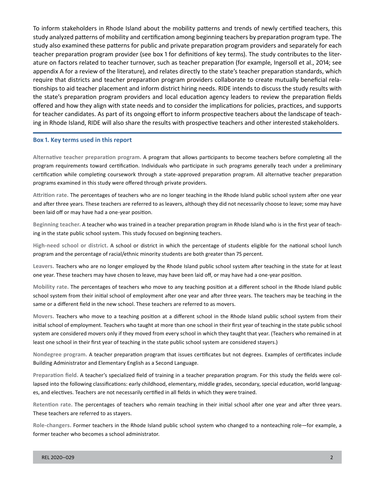To inform stakeholders in Rhode Island about the mobility patterns and trends of newly certified teachers, this study analyzed patterns of mobility and certification among beginning teachers by preparation program type. The study also examined these patterns for public and private preparation program providers and separately for each teacher preparation program provider (see box 1 for definitions of key terms). The study contributes to the literature on factors related to teacher turnover, such as teacher preparation (for example, Ingersoll et al., 2014; see appendix A for a review of the literature), and relates directly to the state's teacher preparation standards, which require that districts and teacher preparation program providers collaborate to create mutually beneficial relationships to aid teacher placement and inform district hiring needs. RIDE intends to discuss the study results with the state's preparation program providers and local education agency leaders to review the preparation fields offered and how they align with state needs and to consider the implications for policies, practices, and supports for teacher candidates. As part of its ongoing effort to inform prospective teachers about the landscape of teaching in Rhode Island, RIDE will also share the results with prospective teachers and other interested stakeholders.

#### **Box 1. Key terms used in this report**

 **Alternative teacher preparation program.** A program that allows participants to become teachers before completing all the program requirements toward certification. Individuals who participate in such programs generally teach under a preliminary certification while completing coursework through a state-approved preparation program. All alternative teacher preparation programs examined in this study were offered through private providers.

**Attrition rate.** The percentages of teachers who are no longer teaching in the Rhode Island public school system after one year and after three years. These teachers are referred to as leavers, although they did not necessarily choose to leave; some may have been laid off or may have had a one-year position.

**Beginning teacher.** A teacher who was trained in a teacher preparation program in Rhode Island who is in the first year of teaching in the state public school system. This study focused on beginning teachers.

 **High-need school or district.** A school or district in which the percentage of students eligible for the national school lunch program and the percentage of racial/ethnic minority students are both greater than 75 percent.

**Leavers.** Teachers who are no longer employed by the Rhode Island public school system after teaching in the state for at least one year. These teachers may have chosen to leave, may have been laid off, or may have had a one-year position.

**Mobility rate.** The percentages of teachers who move to any teaching position at a different school in the Rhode Island public school system from their initial school of employment after one year and after three years. The teachers may be teaching in the same or a different field in the new school. These teachers are referred to as movers.

**Movers.** Teachers who move to a teaching position at a different school in the Rhode Island public school system from their initial school of employment. Teachers who taught at more than one school in their first year of teaching in the state public school system are considered movers only if they moved from every school in which they taught that year. (Teachers who remained in at least one school in their first year of teaching in the state public school system are considered stayers.)

**Nondegree program.** A teacher preparation program that issues certificates but not degrees. Examples of certificates include Building Administrator and Elementary English as a Second Language.

**Preparation field.** A teacher's specialized field of training in a teacher preparation program. For this study the fields were collapsed into the following classifications: early childhood, elementary, middle grades, secondary, special education, world languages, and electives. Teachers are not necessarily certified in all fields in which they were trained.

**Retention rate.** The percentages of teachers who remain teaching in their initial school after one year and after three years. These teachers are referred to as stayers.

**Role-changers.** Former teachers in the Rhode Island public school system who changed to a nonteaching role—for example, a former teacher who becomes a school administrator.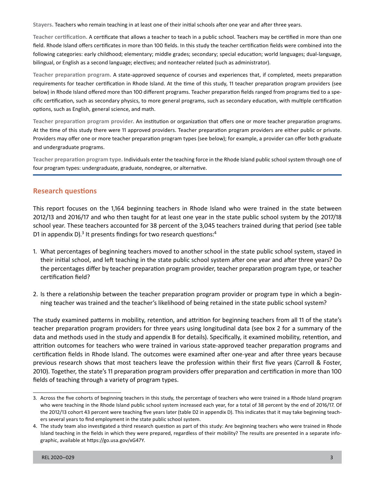**Stayers.** Teachers who remain teaching in at least one of their initial schools after one year and after three years.

 following categories: early childhood; elementary; middle grades; secondary; special education; world languages; dual-language, **Teacher certification.** A certificate that allows a teacher to teach in a public school. Teachers may be certified in more than one field. Rhode Island offers certificates in more than 100 fields. In this study the teacher certification fields were combined into the bilingual, or English as a second language; electives; and nonteacher related (such as administrator).

**Teacher preparation program.** A state-approved sequence of courses and experiences that, if completed, meets preparation requirements for teacher certification in Rhode Island. At the time of this study, 11 teacher preparation program providers (see below) in Rhode Island offered more than 100 different programs. Teacher preparation fields ranged from programs tied to a specific certification, such as secondary physics, to more general programs, such as secondary education, with multiple certification options, such as English, general science, and math.

 **Teacher preparation program provider.** An institution or organization that offers one or more teacher preparation programs. At the time of this study there were 11 approved providers. Teacher preparation program providers are either public or private. Providers may offer one or more teacher preparation program types (see below); for example, a provider can offer both graduate and undergraduate programs.

 **Teacher preparation program type.** Individuals enter the teaching force in the Rhode Island public school system through one of four program types: undergraduate, graduate, nondegree, or alternative.

# **Research questions**

This report focuses on the 1,164 beginning teachers in Rhode Island who were trained in the state between 2012/13 and 2016/17 and who then taught for at least one year in the state public school system by the 2017/18 school year. These teachers accounted for 38 percent of the 3,045 teachers trained during that period (see table D1 in appendix D).<sup>3</sup> It presents findings for two research questions:<sup>4</sup>

- 1. What percentages of beginning teachers moved to another school in the state public school system, stayed in their initial school, and left teaching in the state public school system after one year and after three years? Do the percentages differ by teacher preparation program provider, teacher preparation program type, or teacher certification field?
- 2. Is there a relationship between the teacher preparation program provider or program type in which a beginning teacher was trained and the teacher's likelihood of being retained in the state public school system?

The study examined patterns in mobility, retention, and attrition for beginning teachers from all 11 of the state's teacher preparation program providers for three years using longitudinal data (see box 2 for a summary of the data and methods used in the study and appendix B for details). Specifically, it examined mobility, retention, and attrition outcomes for teachers who were trained in various state-approved teacher preparation programs and certification fields in Rhode Island. The outcomes were examined after one-year and after three years because previous research shows that most teachers leave the profession within their first five years (Carroll & Foster, 2010). Together, the state's 11 preparation program providers offer preparation and certification in more than 100 fields of teaching through a variety of program types.

<sup>3.</sup> Across the five cohorts of beginning teachers in this study, the percentage of teachers who were trained in a Rhode Island program who were teaching in the Rhode Island public school system increased each year, for a total of 38 percent by the end of 2016/17. Of the 2012/13 cohort 43 percent were teaching five years later (table D2 in appendix D). This indicates that it may take beginning teachers several years to find employment in the state public school system.

<sup>4.</sup> The study team also investigated a third research question as part of this study: Are beginning teachers who were trained in Rhode Island teaching in the fields in which they were prepared, regardless of their mobility? The results are presented in a separate infographic, available at [https://go.usa.gov/xG47Y.](https://go.usa.gov/xG47Y)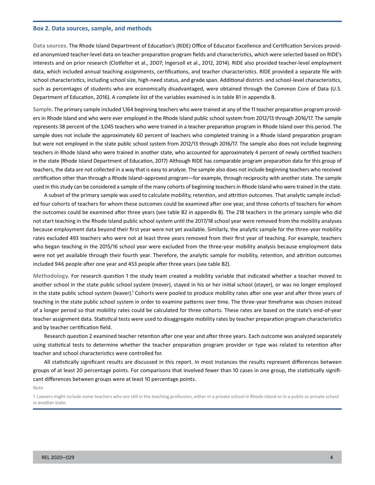#### **Box 2. Data sources, sample, and methods**

**Data sources.** The Rhode Island Department of Education's (RIDE) Office of Educator Excellence and Certification Services provided anonymized teacher-level data on teacher preparation program fields and characteristics, which were selected based on RIDE's interests and on prior research (Clotfelter et al., 2007; Ingersoll et al., 2012, 2014). RIDE also provided teacher-level employment data, which included annual teaching assignments, certifications, and teacher characteristics. RIDE provided a separate file with school characteristics, including school size, high-need status, and grade span. Additional district- and school-level characteristics, such as percentages of students who are economically disadvantaged, were obtained through the Common Core of Data (U.S. Department of Education, 2016). A complete list of the variables examined is in table B1 in appendix B.

 ers in Rhode Island and who were ever employed in the Rhode Island public school system from 2012/13 through 2016/17. The sample sample does not include the approximately 60 percent of teachers who completed training in a Rhode Island preparation program in the state (Rhode Island Department of Education, 2017). Although RIDE has comparable program preparation data for this group of certification other than through a Rhode Island–approved program—for example, through reciprocity with another state. The sample used in this study can be considered a sample of the many cohorts of beginning teachers in Rhode Island who were trained in the state. **Sample.** The primary sample included 1,164 beginning teachers who were trained at any of the 11 teacher preparation program providrepresents 38 percent of the 3,045 teachers who were trained in a teacher preparation program in Rhode Island over this period. The but were not employed in the state public school system from 2012/13 through 2016/17. The sample also does not include beginning teachers in Rhode Island who were trained in another state, who accounted for approximately 4 percent of newly certified teachers teachers, the data are not collected in a way that is easy to analyze. The sample also does not include beginning teachers who received

A subset of the primary sample was used to calculate mobility, retention, and attrition outcomes. That analytic sample included four cohorts of teachers for whom these outcomes could be examined after one year, and three cohorts of teachers for whom the outcomes could be examined after three years (see table B2 in appendix B). The 218 teachers in the primary sample who did not start teaching in the Rhode Island public school system until the 2017/18 school year were removed from the mobility analyses because employment data beyond their first year were not yet available. Similarly, the analytic sample for the three-year mobility rates excluded 493 teachers who were not at least three years removed from their first year of teaching. For example, teachers who began teaching in the 2015/16 school year were excluded from the three-year mobility analysis because employment data were not yet available through their fourth year. Therefore, the analytic sample for mobility, retention, and attrition outcomes included 946 people after one year and 453 people after three years (see table B2).

**Methodology.** For research question 1 the study team created a mobility variable that indicated whether a teacher moved to another school in the state public school system (mover), stayed in his or her initial school (stayer), or was no longer employed in the state public school system (leaver).<sup>1</sup> Cohorts were pooled to produce mobility rates after one year and after three years of teaching in the state public school system in order to examine patterns over time. The three-year timeframe was chosen instead of a longer period so that mobility rates could be calculated for three cohorts. These rates are based on the state's end-of-year teacher assignment data. Statistical tests were used to disaggregate mobility rates by teacher preparation program characteristics and by teacher certification field.

Research question 2 examined teacher retention after one year and after three years. Each outcome was analyzed separately using statistical tests to determine whether the teacher preparation program provider or type was related to retention after teacher and school characteristics were controlled for.

All statistically significant results are discussed in this report. In most instances the results represent differences between groups of at least 20 percentage points. For comparisons that involved fewer than 10 cases in one group, the statistically significant differences between groups were at least 10 percentage points.

Note

<sup>1.</sup> Leavers might include some teachers who are still in the teaching profession, either in a private school in Rhode Island or in a public or private school in another state.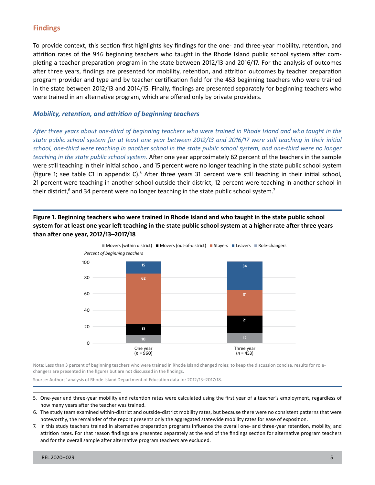# **Findings**

To provide context, this section first highlights key findings for the one- and three-year mobility, retention, and attrition rates of the 946 beginning teachers who taught in the Rhode Island public school system after completing a teacher preparation program in the state between 2012/13 and 2016/17. For the analysis of outcomes after three years, findings are presented for mobility, retention, and attrition outcomes by teacher preparation program provider and type and by teacher certification field for the 453 beginning teachers who were trained in the state between 2012/13 and 2014/15. Finally, findings are presented separately for beginning teachers who were trained in an alternative program, which are offered only by private providers.

### *Mobility, retention, and attrition of beginning teachers*

*After three years about one-third of beginning teachers who were trained in Rhode Island and who taught in the state public school system for at least one year between 2012/13 and 2016/17 were still teaching in their initial school, one-third were teaching in another school in the state public school system, and one-third were no longer teaching in the state public school system.* After one year approximately 62 percent of the teachers in the sample were still teaching in their initial school, and 15 percent were no longer teaching in the state public school system (figure 1; see table C1 in appendix C).<sup>5</sup> After three years 31 percent were still teaching in their initial school, 21 percent were teaching in another school outside their district, 12 percent were teaching in another school in their district, $6$  and 34 percent were no longer teaching in the state public school system.<sup>7</sup>

**Figure 1. Beginning teachers who were trained in Rhode Island and who taught in the state public school system for at least one year left teaching in the state public school system at a higher rate after three years than after one year, 2012/13–2017/18** 



Note: Less than 3 percent of beginning teachers who were trained in Rhode Island changed roles; to keep the discussion concise, results for rolechangers are presented in the figures but are not discussed in the findings.

Source: Authors' analysis of Rhode Island Department of Education data for 2012/13–2017/18.

- 5. One-year and three-year mobility and retention rates were calculated using the first year of a teacher's employment, regardless of how many years after the teacher was trained.
- 6. The study team examined within-district and outside-district mobility rates, but because there were no consistent patterns that were noteworthy, the remainder of the report presents only the aggregated statewide mobility rates for ease of exposition.
- 7. In this study teachers trained in alternative preparation programs influence the overall one- and three-year retention, mobility, and attrition rates. For that reason findings are presented separately at the end of the findings section for alternative program teachers and for the overall sample after alternative program teachers are excluded.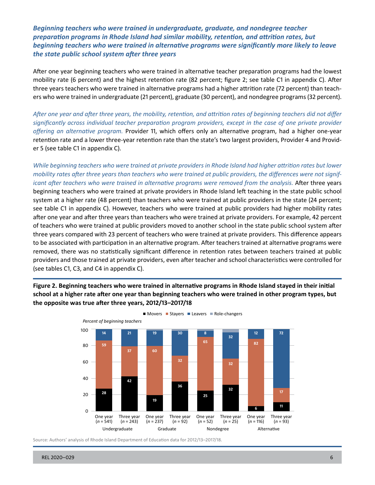*Beginning teachers who were trained in undergraduate, graduate, and nondegree teacher preparation programs in Rhode Island had similar mobility, retention, and attrition rates, but beginning teachers who were trained in alternative programs were significantly more likely to leave the state public school system after three years* 

After one year beginning teachers who were trained in alternative teacher preparation programs had the lowest mobility rate (6 percent) and the highest retention rate (82 percent; figure 2; see table C1 in appendix C). After three years teachers who were trained in alternative programs had a higher attrition rate (72 percent) than teachers who were trained in undergraduate (21 percent), graduate (30 percent), and nondegree programs (32 percent).

 *offering an alternative program.* Provider 11, which offers only an alternative program, had a higher one-year *After one year and after three years, the mobility, retention, and attrition rates of beginning teachers did not differ significantly across individual teacher preparation program providers, except in the case of one private provider*  retention rate and a lower three-year retention rate than the state's two largest providers, Provider 4 and Provider 5 (see table C1 in appendix C).

*While beginning teachers who were trained at private providers in Rhode Island had higher attrition rates but lower mobility rates after three years than teachers who were trained at public providers, the differences were not significant after teachers who were trained in alternative programs were removed from the analysis.* After three years beginning teachers who were trained at private providers in Rhode Island left teaching in the state public school system at a higher rate (48 percent) than teachers who were trained at public providers in the state (24 percent; see table C1 in appendix C). However, teachers who were trained at public providers had higher mobility rates after one year and after three years than teachers who were trained at private providers. For example, 42 percent of teachers who were trained at public providers moved to another school in the state public school system after three years compared with 23 percent of teachers who were trained at private providers. This difference appears to be associated with participation in an alternative program. After teachers trained at alternative programs were removed, there was no statistically significant difference in retention rates between teachers trained at public providers and those trained at private providers, even after teacher and school characteristics were controlled for (see tables C1, C3, and C4 in appendix C).

**Figure 2. Beginning teachers who were trained in alternative programs in Rhode Island stayed in their initial school at a higher rate after one year than beginning teachers who were trained in other program types, but the opposite was true after three years, 2012/13–2017/18** 



Movers Stayers Leavers Role-changers

Source: Authors' analysis of Rhode Island Department of Education data for 2012/13–2017/18.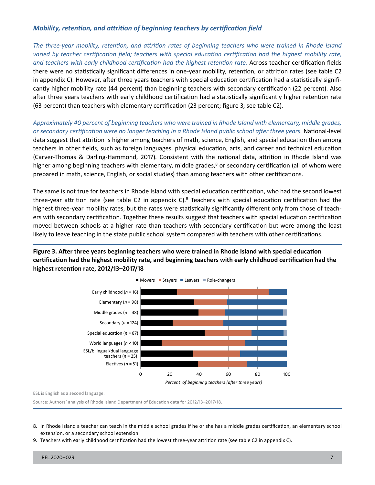# *Mobility, retention, and attrition of beginning teachers by certification field*

*The three-year mobility, retention, and attrition rates of beginning teachers who were trained in Rhode Island varied by teacher certification field; teachers with special education certification had the highest mobility rate, and teachers with early childhood certification had the highest retention rate.* Across teacher certification fields there were no statistically significant differences in one-year mobility, retention, or attrition rates (see table C2 in appendix C). However, after three years teachers with special education certification had a statistically significantly higher mobility rate (44 percent) than beginning teachers with secondary certification (22 percent). Also after three years teachers with early childhood certification had a statistically significantly higher retention rate (63 percent) than teachers with elementary certification (23 percent; figure 3; see table C2).

*Approximately 40 percent of beginning teachers who were trained in Rhode Island with elementary, middle grades, or secondary certification were no longer teaching in a Rhode Island public school after three years.* National-level data suggest that attrition is higher among teachers of math, science, English, and special education than among teachers in other fields, such as foreign languages, physical education, arts, and career and technical education (Carver-Thomas & Darling-Hammond, 2017). Consistent with the national data, attrition in Rhode Island was higher among beginning teachers with elementary, middle grades, $\delta$  or secondary certification (all of whom were prepared in math, science, English, or social studies) than among teachers with other certifications.

The same is not true for teachers in Rhode Island with special education certification, who had the second lowest three-year attrition rate (see table C2 in appendix C).<sup>9</sup> Teachers with special education certification had the highest three-year mobility rates, but the rates were statistically significantly different only from those of teachers with secondary certification. Together these results suggest that teachers with special education certification moved between schools at a higher rate than teachers with secondary certification but were among the least likely to leave teaching in the state public school system compared with teachers with other certifications.





ESL is English as a second language.

Source: Authors' analysis of Rhode Island Department of Education data for 2012/13–2017/18.

<sup>8.</sup> In Rhode Island a teacher can teach in the middle school grades if he or she has a middle grades certification, an elementary school extension, or a secondary school extension.

<sup>9.</sup> Teachers with early childhood certification had the lowest three-year attrition rate (see table C2 in appendix C).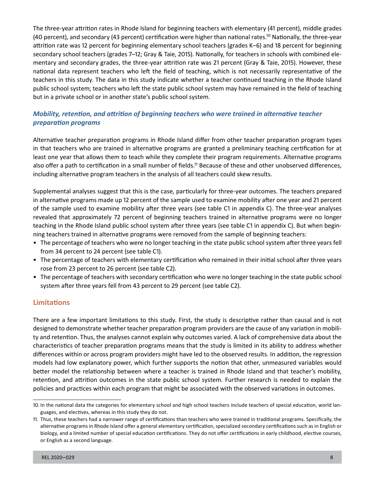(40 percent), and secondary (43 percent) certification were higher than national rates.<sup>10</sup> Nationally, the three-year The three-year attrition rates in Rhode Island for beginning teachers with elementary (41 percent), middle grades attrition rate was 12 percent for beginning elementary school teachers (grades K–6) and 18 percent for beginning secondary school teachers (grades 7–12; Gray & Taie, 2015). Nationally, for teachers in schools with combined elementary and secondary grades, the three-year attrition rate was 21 percent (Gray & Taie, 2015). However, these national data represent teachers who left the field of teaching, which is not necessarily representative of the teachers in this study. The data in this study indicate whether a teacher continued teaching in the Rhode Island public school system; teachers who left the state public school system may have remained in the field of teaching but in a private school or in another state's public school system.

# *Mobility, retention, and attrition of beginning teachers who were trained in alternative teacher preparation programs*

also offer a path to certification in a small number of fields.<sup>11</sup> Because of these and other unobserved differences, Alternative teacher preparation programs in Rhode Island differ from other teacher preparation program types in that teachers who are trained in alternative programs are granted a preliminary teaching certification for at least one year that allows them to teach while they complete their program requirements. Alternative programs including alternative program teachers in the analysis of all teachers could skew results.

 in alternative programs made up 12 percent of the sample used to examine mobility after one year and 21 percent Supplemental analyses suggest that this is the case, particularly for three-year outcomes. The teachers prepared of the sample used to examine mobility after three years (see table C1 in appendix C). The three-year analyses revealed that approximately 72 percent of beginning teachers trained in alternative programs were no longer teaching in the Rhode Island public school system after three years (see table C1 in appendix C). But when beginning teachers trained in alternative programs were removed from the sample of beginning teachers:

- • The percentage of teachers who were no longer teaching in the state public school system after three years fell from 34 percent to 24 percent (see table C1).
- The percentage of teachers with elementary certification who remained in their initial school after three years rose from 23 percent to 26 percent (see table C2).
- The percentage of teachers with secondary certification who were no longer teaching in the state public school system after three years fell from 43 percent to 29 percent (see table C2).

# **Limitations**

There are a few important limitations to this study. First, the study is descriptive rather than causal and is not designed to demonstrate whether teacher preparation program providers are the cause of any variation in mobility and retention. Thus, the analyses cannot explain why outcomes varied. A lack of comprehensive data about the characteristics of teacher preparation programs means that the study is limited in its ability to address whether differences within or across program providers might have led to the observed results. In addition, the regression models had low explanatory power, which further supports the notion that other, unmeasured variables would better model the relationship between where a teacher is trained in Rhode Island and that teacher's mobility, retention, and attrition outcomes in the state public school system. Further research is needed to explain the policies and practices within each program that might be associated with the observed variations in outcomes.

 10. In the national data the categories for elementary school and high school teachers include teachers of special education, world languages, and electives, whereas in this study they do not.

<sup>11.</sup> Thus, these teachers had a narrower range of certifications than teachers who were trained in traditional programs. Specifically, the alternative programs in Rhode Island offer a general elementary certification, specialized secondary certifications such as in English or biology, and a limited number of special education certifications. They do not offer certifications in early childhood, elective courses, or English as a second language.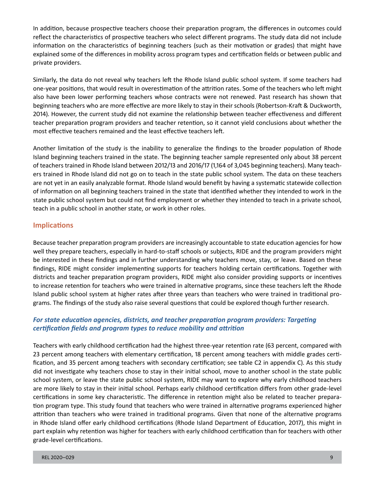In addition, because prospective teachers choose their preparation program, the differences in outcomes could reflect the characteristics of prospective teachers who select different programs. The study data did not include information on the characteristics of beginning teachers (such as their motivation or grades) that might have explained some of the differences in mobility across program types and certification fields or between public and private providers.

Similarly, the data do not reveal why teachers left the Rhode Island public school system. If some teachers had one-year positions, that would result in overestimation of the attrition rates. Some of the teachers who left might also have been lower performing teachers whose contracts were not renewed. Past research has shown that beginning teachers who are more effective are more likely to stay in their schools (Robertson-Kraft & Duckworth, 2014). However, the current study did not examine the relationship between teacher effectiveness and different teacher preparation program providers and teacher retention, so it cannot yield conclusions about whether the most effective teachers remained and the least effective teachers left.

Another limitation of the study is the inability to generalize the findings to the broader population of Rhode Island beginning teachers trained in the state. The beginning teacher sample represented only about 38 percent of teachers trained in Rhode Island between 2012/13 and 2016/17 (1,164 of 3,045 beginning teachers). Many teachers trained in Rhode Island did not go on to teach in the state public school system. The data on these teachers are not yet in an easily analyzable format. Rhode Island would benefit by having a systematic statewide collection of information on all beginning teachers trained in the state that identified whether they intended to work in the state public school system but could not find employment or whether they intended to teach in a private school, teach in a public school in another state, or work in other roles.

# **Implications**

Because teacher preparation program providers are increasingly accountable to state education agencies for how well they prepare teachers, especially in hard-to-staff schools or subjects, RIDE and the program providers might be interested in these findings and in further understanding why teachers move, stay, or leave. Based on these findings, RIDE might consider implementing supports for teachers holding certain certifications. Together with districts and teacher preparation program providers, RIDE might also consider providing supports or incentives to increase retention for teachers who were trained in alternative programs, since these teachers left the Rhode Island public school system at higher rates after three years than teachers who were trained in traditional programs. The findings of the study also raise several questions that could be explored though further research.

# *For state education agencies, districts, and teacher preparation program providers: Targeting certification fields and program types to reduce mobility and attrition*

Teachers with early childhood certification had the highest three-year retention rate (63 percent, compared with 23 percent among teachers with elementary certification, 18 percent among teachers with middle grades certification, and 35 percent among teachers with secondary certification; see table C2 in appendix C). As this study did not investigate why teachers chose to stay in their initial school, move to another school in the state public school system, or leave the state public school system, RIDE may want to explore why early childhood teachers are more likely to stay in their initial school. Perhaps early childhood certification differs from other grade-level certifications in some key characteristic. The difference in retention might also be related to teacher preparation program type. This study found that teachers who were trained in alternative programs experienced higher attrition than teachers who were trained in traditional programs. Given that none of the alternative programs in Rhode Island offer early childhood certifications (Rhode Island Department of Education, 2017), this might in part explain why retention was higher for teachers with early childhood certification than for teachers with other grade-level certifications.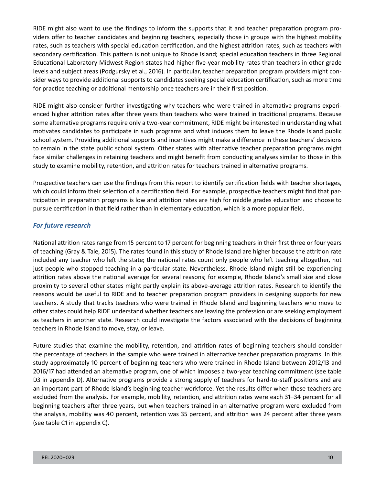RIDE might also want to use the findings to inform the supports that it and teacher preparation program providers offer to teacher candidates and beginning teachers, especially those in groups with the highest mobility rates, such as teachers with special education certification, and the highest attrition rates, such as teachers with secondary certification. This pattern is not unique to Rhode Island; special education teachers in three Regional Educational Laboratory Midwest Region states had higher five-year mobility rates than teachers in other grade levels and subject areas (Podgursky et al., 2016). In particular, teacher preparation program providers might consider ways to provide additional supports to candidates seeking special education certification, such as more time for practice teaching or additional mentorship once teachers are in their first position.

RIDE might also consider further investigating why teachers who were trained in alternative programs experienced higher attrition rates after three years than teachers who were trained in traditional programs. Because some alternative programs require only a two-year commitment, RIDE might be interested in understanding what motivates candidates to participate in such programs and what induces them to leave the Rhode Island public school system. Providing additional supports and incentives might make a difference in these teachers' decisions to remain in the state public school system. Other states with alternative teacher preparation programs might face similar challenges in retaining teachers and might benefit from conducting analyses similar to those in this study to examine mobility, retention, and attrition rates for teachers trained in alternative programs.

Prospective teachers can use the findings from this report to identify certification fields with teacher shortages, which could inform their selection of a certification field. For example, prospective teachers might find that participation in preparation programs is low and attrition rates are high for middle grades education and choose to pursue certification in that field rather than in elementary education, which is a more popular field.

# *For future research*

National attrition rates range from 15 percent to 17 percent for beginning teachers in their first three or four years of teaching (Gray & Taie, 2015). The rates found in this study of Rhode Island are higher because the attrition rate included any teacher who left the state; the national rates count only people who left teaching altogether, not just people who stopped teaching in a particular state. Nevertheless, Rhode Island might still be experiencing attrition rates above the national average for several reasons; for example, Rhode Island's small size and close proximity to several other states might partly explain its above-average attrition rates. Research to identify the reasons would be useful to RIDE and to teacher preparation program providers in designing supports for new teachers. A study that tracks teachers who were trained in Rhode Island and beginning teachers who move to other states could help RIDE understand whether teachers are leaving the profession or are seeking employment as teachers in another state. Research could investigate the factors associated with the decisions of beginning teachers in Rhode Island to move, stay, or leave.

Future studies that examine the mobility, retention, and attrition rates of beginning teachers should consider the percentage of teachers in the sample who were trained in alternative teacher preparation programs. In this study approximately 10 percent of beginning teachers who were trained in Rhode Island between 2012/13 and 2016/17 had attended an alternative program, one of which imposes a two-year teaching commitment (see table D3 in appendix D). Alternative programs provide a strong supply of teachers for hard-to-staff positions and are an important part of Rhode Island's beginning teacher workforce. Yet the results differ when these teachers are excluded from the analysis. For example, mobility, retention, and attrition rates were each 31–34 percent for all beginning teachers after three years, but when teachers trained in an alternative program were excluded from the analysis, mobility was 40 percent, retention was 35 percent, and attrition was 24 percent after three years (see table C1 in appendix C).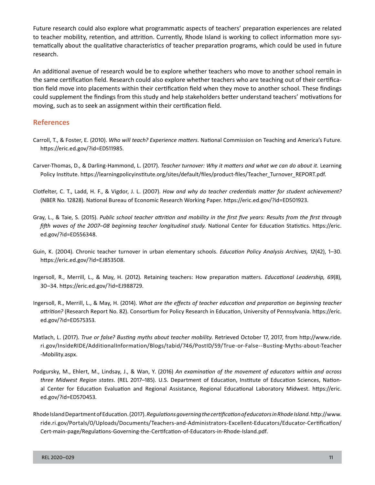Future research could also explore what programmatic aspects of teachers' preparation experiences are related to teacher mobility, retention, and attrition. Currently, Rhode Island is working to collect information more systematically about the qualitative characteristics of teacher preparation programs, which could be used in future research.

An additional avenue of research would be to explore whether teachers who move to another school remain in the same certification field. Research could also explore whether teachers who are teaching out of their certification field move into placements within their certification field when they move to another school. These findings could supplement the findings from this study and help stakeholders better understand teachers' motivations for moving, such as to seek an assignment within their certification field.

### **References**

- Carroll, T., & Foster, E. (2010). *Who will teach? Experience matters.* National Commission on Teaching and America's Future. [https://eric.ed.gov/?id=ED511985.](https://eric.ed.gov/?id=ED511985)
- Carver-Thomas, D., & Darling-Hammond, L. (2017). *Teacher turnover: Why it matters and what we can do about it.* Learning Policy Institute. [https://learningpolicyinstitute.org/sites/default/files/product-files/Teacher\\_Turnover\\_REPORT.pdf.](https://learningpolicyinstitute.org/sites/default/files/product-files/Teacher_Turnover_REPORT.pdf)
- Clotfelter, C. T., Ladd, H. F., & Vigdor, J. L. (2007). *How and why do teacher credentials matter for student achievement?*  (NBER No. 12828). National Bureau of Economic Research Working Paper.<https://eric.ed.gov/?id=ED501923>.
- Gray, L., & Taie, S. (2015). *Public school teacher attrition and mobility in the first five years: Results from the first through*  fifth waves of the 2007–08 beginning teacher longitudinal study. National Center for Education Statistics. https://eric. [ed.gov/?id=ED556348.](https://eric.ed.gov/?id=ED556348)
- Guin, K. (2004). Chronic teacher turnover in urban elementary schools. *Education Policy Analysis Archives, 12*(42), 1–30. <https://eric.ed.gov/?id=EJ853508>.
- Ingersoll, R., Merrill, L., & May, H. (2012)*.* Retaining teachers: How preparation matters. *Educational Leadership, 69*(8), 30–34. [https://eric.ed.gov/?id=EJ988729.](https://eric.ed.gov/?id=EJ988729)
- Ingersoll, R., Merrill, L., & May, H. (2014). *What are the effects of teacher education and preparation on beginning teacher attrition?* (Research Report No. 82). Consortium for Policy Research in Education, University of Pennsylvania. [https://eric.](https://eric.ed.gov/?id=ED575353)  [ed.gov/?id=ED575353](https://eric.ed.gov/?id=ED575353).
- Matlach, L. (2017). *True or false? Busting myths about teacher mobility.* Retrieved October 17, 2017, from [http://www.ride.](http://www.ride.ri.gov/InsideRIDE/AdditionalInformation/Blogs/tabid/746/PostID/59/True-or-False--Busting-Myths-about-Teacher-Mobility.aspx)  [ri.gov/InsideRIDE/AdditionalInformation/Blogs/tabid/746/PostID/59/True-or-False--Busting-Myths-about-Teacher](http://www.ride.ri.gov/InsideRIDE/AdditionalInformation/Blogs/tabid/746/PostID/59/True-or-False--Busting-Myths-about-Teacher-Mobility.aspx) [-Mobility.aspx](http://www.ride.ri.gov/InsideRIDE/AdditionalInformation/Blogs/tabid/746/PostID/59/True-or-False--Busting-Myths-about-Teacher-Mobility.aspx).
- Podgursky, M., Ehlert, M., Lindsay, J., & Wan, Y. (2016) *An examination of the movement of educators within and across three Midwest Region states*. (REL 2017–185). U.S. Department of Education, Institute of Education Sciences, National Center for Education Evaluation and Regional Assistance, Regional Educational Laboratory Midwest. [https://eric.](https://eric.ed.gov/?id=ED570453)  [ed.gov/?id=ED570453](https://eric.ed.gov/?id=ED570453).
- Rhode Island Department of Education. (2017). *Regulations governing the certification of educators in Rhode Island.* [http://www.](http://www.ride.ri.gov/Portals/0/Uploads/Documents/Teachers-and-Administrators-Excellent-Educators/Educator-Certification/Cert-main-page/Regulations-Governing-the-Certifcation-of-Educators-in-Rhode-Island.pdf)  [ride.ri.gov/Portals/0/Uploads/Documents/Teachers-and-Administrators-Excellent-Educators/Educator-Certification/](http://www.ride.ri.gov/Portals/0/Uploads/Documents/Teachers-and-Administrators-Excellent-Educators/Educator-Certification/Cert-main-page/Regulations-Governing-the-Certifcation-of-Educators-in-Rhode-Island.pdf) [Cert-main-page/Regulations-Governing-the-Certifcation-of-Educators-in-Rhode-Island.pdf](http://www.ride.ri.gov/Portals/0/Uploads/Documents/Teachers-and-Administrators-Excellent-Educators/Educator-Certification/Cert-main-page/Regulations-Governing-the-Certifcation-of-Educators-in-Rhode-Island.pdf).